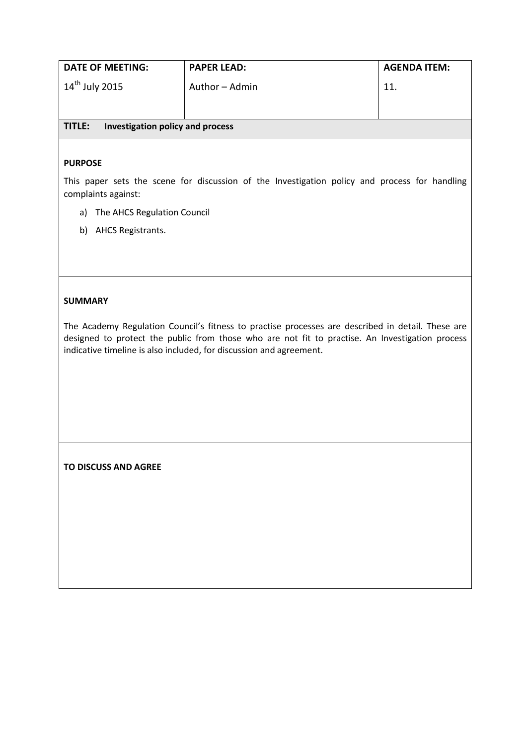| DATE OF MEETING:           | <b>PAPER LEAD:</b> | <b>AGENDA ITEM:</b> |
|----------------------------|--------------------|---------------------|
| 14 <sup>th</sup> July 2015 | Author - Admin     | 11.                 |

### **TITLE: Investigation policy and process**

#### **PURPOSE**

This paper sets the scene for discussion of the Investigation policy and process for handling complaints against:

- a) The AHCS Regulation Council
- b) AHCS Registrants.

#### **SUMMARY**

The Academy Regulation Council's fitness to practise processes are described in detail. These are designed to protect the public from those who are not fit to practise. An Investigation process indicative timeline is also included, for discussion and agreement.

**TO DISCUSS AND AGREE**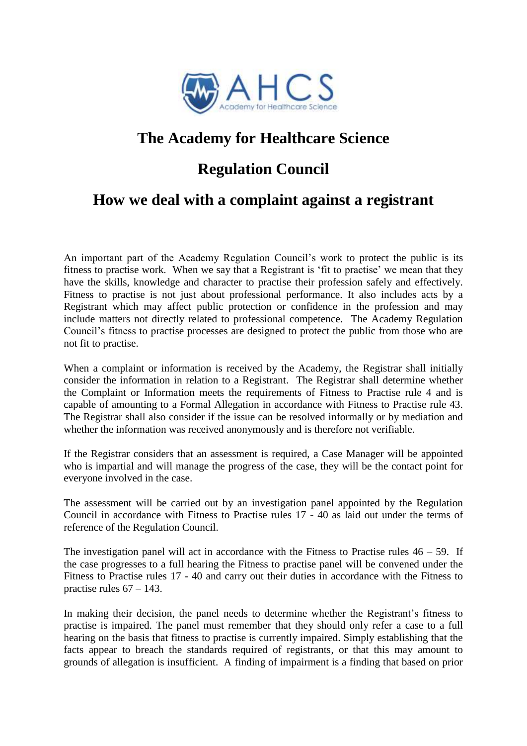

# **The Academy for Healthcare Science**

### **Regulation Council**

## **How we deal with a complaint against a registrant**

An important part of the Academy Regulation Council's work to protect the public is its fitness to practise work. When we say that a Registrant is 'fit to practise' we mean that they have the skills, knowledge and character to practise their profession safely and effectively. Fitness to practise is not just about professional performance. It also includes acts by a Registrant which may affect public protection or confidence in the profession and may include matters not directly related to professional competence. The Academy Regulation Council's fitness to practise processes are designed to protect the public from those who are not fit to practise.

When a complaint or information is received by the Academy, the Registrar shall initially consider the information in relation to a Registrant. The Registrar shall determine whether the Complaint or Information meets the requirements of Fitness to Practise rule 4 and is capable of amounting to a Formal Allegation in accordance with Fitness to Practise rule 43. The Registrar shall also consider if the issue can be resolved informally or by mediation and whether the information was received anonymously and is therefore not verifiable.

If the Registrar considers that an assessment is required, a Case Manager will be appointed who is impartial and will manage the progress of the case, they will be the contact point for everyone involved in the case.

The assessment will be carried out by an investigation panel appointed by the Regulation Council in accordance with Fitness to Practise rules 17 - 40 as laid out under the terms of reference of the Regulation Council.

The investigation panel will act in accordance with the Fitness to Practise rules  $46 - 59$ . If the case progresses to a full hearing the Fitness to practise panel will be convened under the Fitness to Practise rules 17 - 40 and carry out their duties in accordance with the Fitness to practise rules  $67 - 143$ .

In making their decision, the panel needs to determine whether the Registrant's fitness to practise is impaired. The panel must remember that they should only refer a case to a full hearing on the basis that fitness to practise is currently impaired. Simply establishing that the facts appear to breach the standards required of registrants, or that this may amount to grounds of allegation is insufficient. A finding of impairment is a finding that based on prior